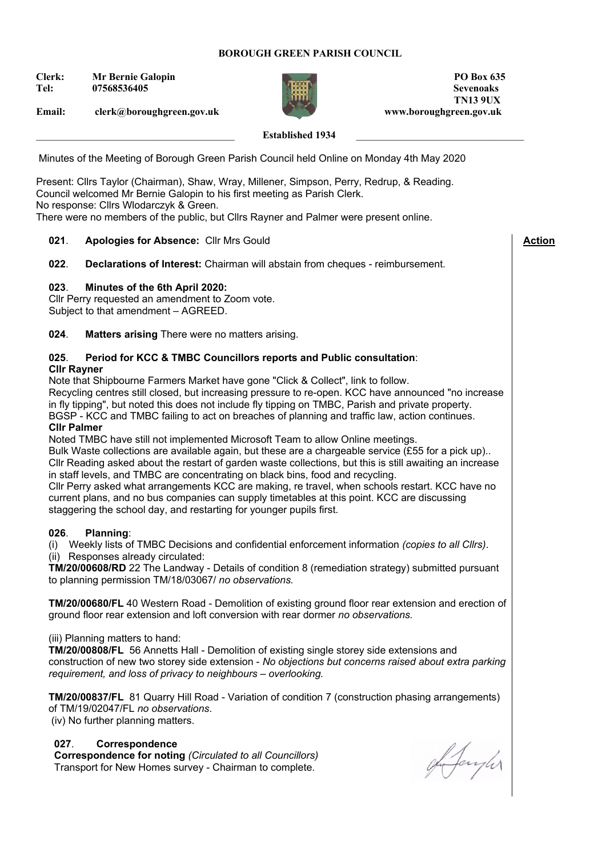### **BOROUGH GREEN PARISH COUNCIL**

**Clerk: Mr Bernie Galopin PO Box 635**



**Tel: 07568536405 Sevenoaks TN13 9UX Email: clerk@boroughgreen.gov.uk www.boroughgreen.gov.uk**

 **Action**

### Established 1934

Minutes of the Meeting of Borough Green Parish Council held Online on Monday 4th May 2020

Present: Cllrs Taylor (Chairman), Shaw, Wray, Millener, Simpson, Perry, Redrup, & Reading. Council welcomed Mr Bernie Galopin to his first meeting as Parish Clerk. No response: Cllrs Wlodarczyk & Green. There were no members of the public, but Cllrs Rayner and Palmer were present online.

#### **021**. **Apologies for Absence:** Cllr Mrs Gould

022. **022**. **Declarations of Interest:** Chairman will abstain from cheques - reimbursement.

#### **023**. **Minutes of the 6th April 2020:**

Cllr Perry requested an amendment to Zoom vote.

Subject to that amendment – AGREED.

**024**. **Matters arising** There were no matters arising.

# **025**. **Period for KCC & TMBC Councillors reports and Public consultation**:

### **Cllr Rayner**

Note that Shipbourne Farmers Market have gone "Click & Collect", link to follow. Recycling centres still closed, but increasing pressure to re-open. KCC have announced "no increase in fly tipping", but noted this does not include fly tipping on TMBC, Parish and private property. BGSP - KCC and TMBC failing to act on breaches of planning and traffic law, action continues. **Cllr Palmer** 

Noted TMBC have still not implemented Microsoft Team to allow Online meetings.

Bulk Waste collections are available again, but these are a chargeable service (£55 for a pick up).. Cllr Reading asked about the restart of garden waste collections, but this is still awaiting an increase in staff levels, and TMBC are concentrating on black bins, food and recycling. Cllr Perry asked what arrangements KCC are making, re travel, when schools restart. KCC have no

current plans, and no bus companies can supply timetables at this point. KCC are discussing staggering the school day, and restarting for younger pupils first.

#### **026**. **Planning**:

(i) Weekly lists of TMBC Decisions and confidential enforcement information *(copies to all Cllrs)*. (ii) Responses already circulated:

**TM/20/00608/RD** 22 The Landway - Details of condition 8 (remediation strategy) submitted pursuant to planning permission TM/18/03067/ *no observations.*

**TM/20/00680/FL** 40 Western Road - Demolition of existing ground floor rear extension and erection of ground floor rear extension and loft conversion with rear dormer *no observations.*

#### (iii) Planning matters to hand:

**TM/20/00808/FL** 56 Annetts Hall - Demolition of existing single storey side extensions and construction of new two storey side extension - *No objections but concerns raised about extra parking requirement, and loss of privacy to neighbours – overlooking.*

**TM/20/00837/FL** 81 Quarry Hill Road - Variation of condition 7 (construction phasing arrangements) of TM/19/02047/FL *no observations*. (iv) No further planning matters.

### **027**. **Correspondence**

**Correspondence for noting** *(Circulated to all Councillors)* Transport for New Homes survey - Chairman to complete.

ghfayler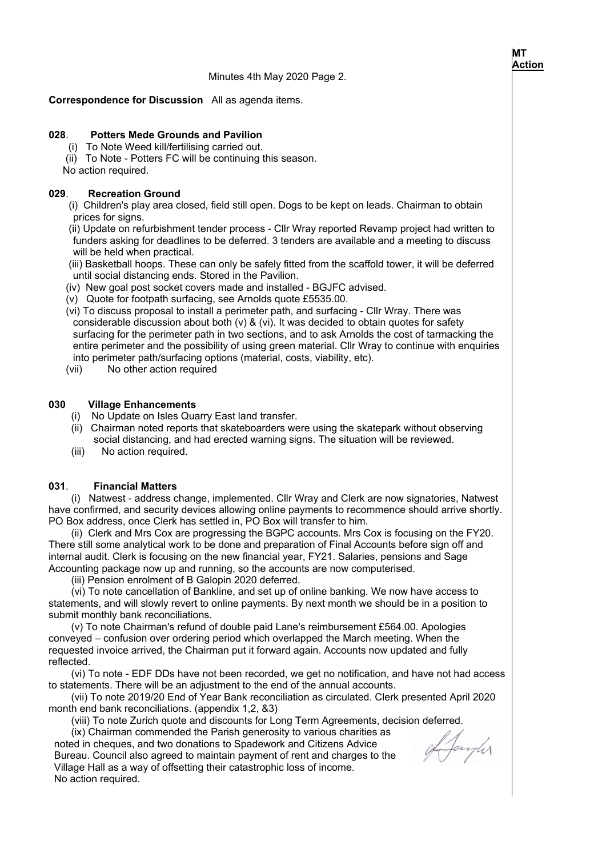#### **Correspondence for Discussion** All as agenda items.

#### **028**. **Potters Mede Grounds and Pavilion**

(i) To Note Weed kill/fertilising carried out.

(ii) To Note - Potters FC will be continuing this season.

No action required.

#### **029**. **Recreation Ground**

 (i) Children's play area closed, field still open. Dogs to be kept on leads. Chairman to obtain prices for signs.

 (ii) Update on refurbishment tender process - Cllr Wray reported Revamp project had written to funders asking for deadlines to be deferred. 3 tenders are available and a meeting to discuss will be held when practical.

 (iii) Basketball hoops. These can only be safely fitted from the scaffold tower, it will be deferred until social distancing ends. Stored in the Pavilion.

- (iv) New goal post socket covers made and installed BGJFC advised.
- (v) Quote for footpath surfacing, see Arnolds quote £5535.00.

(vi) To discuss proposal to install a perimeter path, and surfacing - Cllr Wray. There was considerable discussion about both (v) & (vi). It was decided to obtain quotes for safety surfacing for the perimeter path in two sections, and to ask Arnolds the cost of tarmacking the entire perimeter and the possibility of using green material. Cllr Wray to continue with enquiries into perimeter path/surfacing options (material, costs, viability, etc).

(vii) No other action required

#### **030 Village Enhancements**

- (i) No Update on Isles Quarry East land transfer.
- (ii) Chairman noted reports that skateboarders were using the skatepark without observing social distancing, and had erected warning signs. The situation will be reviewed.
- (iii) No action required.

#### **031**. **Financial Matters**

 (i) Natwest - address change, implemented. Cllr Wray and Clerk are now signatories, Natwest have confirmed, and security devices allowing online payments to recommence should arrive shortly. PO Box address, once Clerk has settled in, PO Box will transfer to him.

 (ii) Clerk and Mrs Cox are progressing the BGPC accounts. Mrs Cox is focusing on the FY20. There still some analytical work to be done and preparation of Final Accounts before sign off and internal audit. Clerk is focusing on the new financial year, FY21. Salaries, pensions and Sage Accounting package now up and running, so the accounts are now computerised.

(iii) Pension enrolment of B Galopin 2020 deferred.

 (vi) To note cancellation of Bankline, and set up of online banking. We now have access to statements, and will slowly revert to online payments. By next month we should be in a position to submit monthly bank reconciliations.

 (v) To note Chairman's refund of double paid Lane's reimbursement £564.00. Apologies conveyed – confusion over ordering period which overlapped the March meeting. When the requested invoice arrived, the Chairman put it forward again. Accounts now updated and fully reflected.

 (vi) To note - EDF DDs have not been recorded, we get no notification, and have not had access to statements. There will be an adjustment to the end of the annual accounts.

 (vii) To note 2019/20 End of Year Bank reconciliation as circulated. Clerk presented April 2020 month end bank reconciliations. (appendix 1,2, &3)

(viii) To note Zurich quote and discounts for Long Term Agreements, decision deferred.

 (ix) Chairman commended the Parish generosity to various charities as noted in cheques, and two donations to Spadework and Citizens Advice Bureau. Council also agreed to maintain payment of rent and charges to the Village Hall as a way of offsetting their catastrophic loss of income. No action required.

gh Jaryhr

 $\overline{\phantom{a}}$ 

### **MT Action**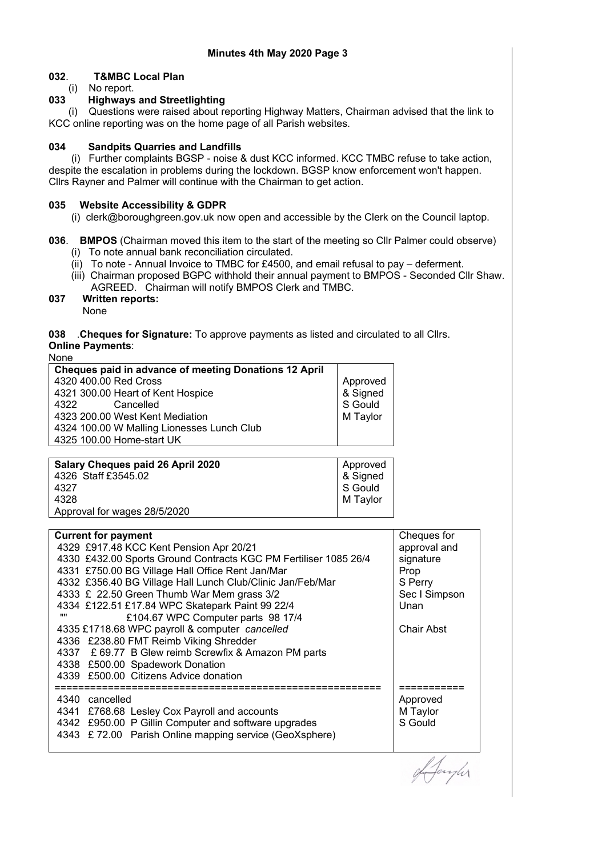## **032**. **T&MBC Local Plan**

(i) No report.<br> **033 Highways** 

#### **033 Highways and Streetlighting**

 (i) Questions were raised about reporting Highway Matters, Chairman advised that the link to KCC online reporting was on the home page of all Parish websites.

#### **034 Sandpits Quarries and Landfills**

 (i) Further complaints BGSP - noise & dust KCC informed. KCC TMBC refuse to take action, despite the escalation in problems during the lockdown. BGSP know enforcement won't happen. Cllrs Rayner and Palmer will continue with the Chairman to get action.

#### **035 Website Accessibility & GDPR**

(i) clerk@boroughgreen.gov.uk now open and accessible by the Clerk on the Council laptop.

#### **036**. **BMPOS** (Chairman moved this item to the start of the meeting so Cllr Palmer could observe)

- (i) To note annual bank reconciliation circulated.
- (ii) To note Annual Invoice to TMBC for £4500, and email refusal to pay deferment.
- (iii) Chairman proposed BGPC withhold their annual payment to BMPOS Seconded Cllr Shaw. AGREED. Chairman will notify BMPOS Clerk and TMBC.
- **037 Written reports:** None

#### **038** .**Cheques for Signature:** To approve payments as listed and circulated to all Cllrs. **Online Payments**:

None

| <b>Cheques paid in advance of meeting Donations 12 April</b> |                      |
|--------------------------------------------------------------|----------------------|
| 4320 400.00 Red Cross                                        |                      |
| 4321 300.00 Heart of Kent Hospice                            | Approved<br>& Signed |
| Cancelled<br>4322                                            | S Gould              |
| 4323 200.00 West Kent Mediation                              | M Taylor             |
| 4324 100.00 W Malling Lionesses Lunch Club                   |                      |
| 4325 100.00 Home-start UK                                    |                      |
|                                                              |                      |

| Salary Cheques paid 26 April 2020 | Approved |
|-----------------------------------|----------|
| 4326 Staff £3545.02               | & Signed |
| 4327                              | S Gould  |
| 4328                              | M Taylor |
| Approval for wages 28/5/2020      |          |
|                                   |          |

| <b>Current for payment</b>                                       | Cheques for       |
|------------------------------------------------------------------|-------------------|
| 4329 £917.48 KCC Kent Pension Apr 20/21                          | approval and      |
| 4330 £432.00 Sports Ground Contracts KGC PM Fertiliser 1085 26/4 | signature         |
| 4331 £750.00 BG Village Hall Office Rent Jan/Mar                 | Prop              |
| 4332 £356.40 BG Village Hall Lunch Club/Clinic Jan/Feb/Mar       | S Perry           |
| 4333 £ 22.50 Green Thumb War Mem grass 3/2                       | Sec I Simpson     |
| 4334 £122.51 £17.84 WPC Skatepark Paint 99 22/4                  | Unan              |
| £104.67 WPC Computer parts 98 17/4<br>,,,,                       |                   |
| 4335 £1718.68 WPC payroll & computer cancelled                   | <b>Chair Abst</b> |
| 4336 £238.80 FMT Reimb Viking Shredder                           |                   |
| 4337 £ 69.77 B Glew reimb Screwfix & Amazon PM parts             |                   |
| 4338 £500.00 Spadework Donation                                  |                   |
| 4339 £500.00 Citizens Advice donation                            |                   |
|                                                                  |                   |
| 4340 cancelled                                                   | Approved          |
| 4341 £768.68 Lesley Cox Payroll and accounts                     | M Taylor          |
| 4342 £950.00 P Gillin Computer and software upgrades             | S Gould           |
| £72.00 Parish Online mapping service (GeoXsphere)<br>4343        |                   |
|                                                                  |                   |

Janyler

 $\overline{\phantom{a}}$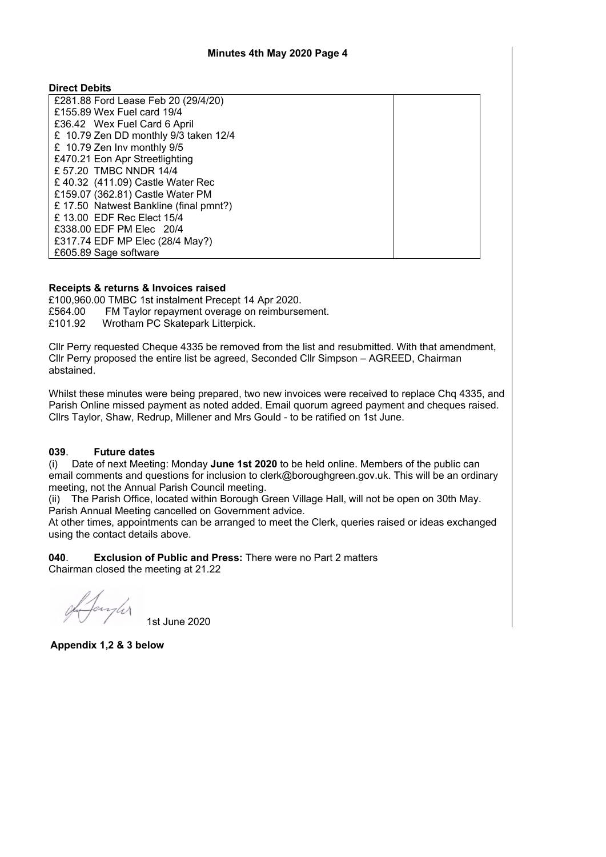#### **Direct Debits**

| £281.88 Ford Lease Feb 20 (29/4/20)    |  |
|----------------------------------------|--|
| £155,89 Wex Fuel card 19/4             |  |
| £36.42 Wex Fuel Card 6 April           |  |
| £ 10.79 Zen DD monthly 9/3 taken 12/4  |  |
| £ 10.79 Zen Inv monthly 9/5            |  |
| £470.21 Eon Apr Streetlighting         |  |
| £ 57.20 TMBC NNDR 14/4                 |  |
| £40.32 (411.09) Castle Water Rec       |  |
| £159.07 (362.81) Castle Water PM       |  |
| £ 17.50 Natwest Bankline (final pmnt?) |  |
| £ 13.00 EDF Rec Elect 15/4             |  |
| £338,00 EDF PM Elec 20/4               |  |
| £317.74 EDF MP Elec (28/4 May?)        |  |
| £605.89 Sage software                  |  |

#### **Receipts & returns & Invoices raised**

£100,960.00 TMBC 1st instalment Precept 14 Apr 2020. £564.00 FM Taylor repayment overage on reimbursement. £101.92 Wrotham PC Skatepark Litterpick.

Cllr Perry requested Cheque 4335 be removed from the list and resubmitted. With that amendment, Cllr Perry proposed the entire list be agreed, Seconded Cllr Simpson – AGREED, Chairman abstained.

Whilst these minutes were being prepared, two new invoices were received to replace Chq 4335, and Parish Online missed payment as noted added. Email quorum agreed payment and cheques raised. Cllrs Taylor, Shaw, Redrup, Millener and Mrs Gould - to be ratified on 1st June.

#### **039**. **Future dates**

(i) Date of next Meeting: Monday **June 1st 2020** to be held online. Members of the public can email comments and questions for inclusion to clerk@boroughgreen.gov.uk. This will be an ordinary meeting, not the Annual Parish Council meeting.

(ii) The Parish Office, located within Borough Green Village Hall, will not be open on 30th May. Parish Annual Meeting cancelled on Government advice.

At other times, appointments can be arranged to meet the Clerk, queries raised or ideas exchanged using the contact details above.

**040**. **Exclusion of Public and Press:** There were no Part 2 matters Chairman closed the meeting at 21.22

Langher

1st June 2020

**Appendix 1,2 & 3 below**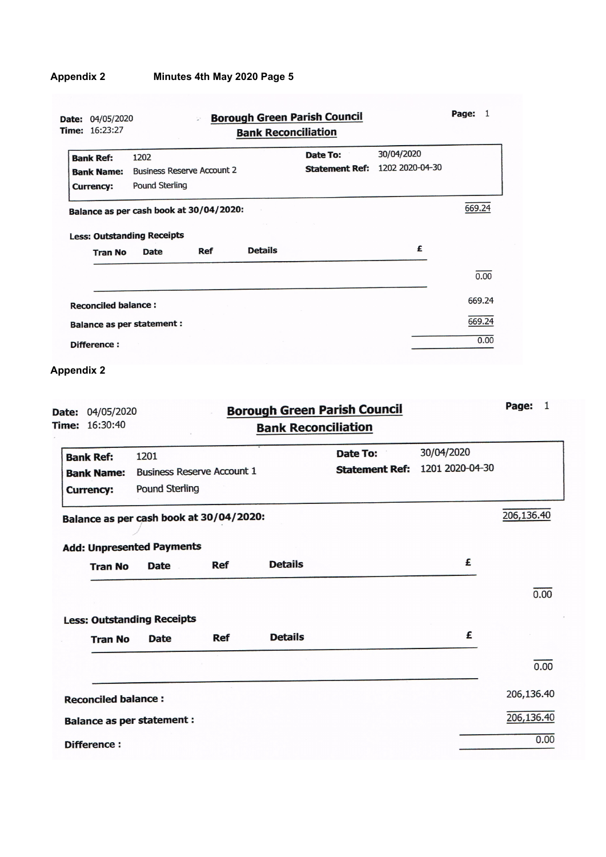| 30/04/2020<br>Date To:<br>1202<br><b>Bank Ref:</b><br>1202 2020-04-30<br><b>Statement Ref:</b><br><b>Business Reserve Account 2</b><br><b>Bank Name:</b><br><b>Pound Sterling</b><br><b>Currency:</b><br>669.24<br>Balance as per cash book at 30/04/2020:<br><b>Less: Outstanding Receipts</b><br>£<br><b>Details</b><br>Ref<br><b>Date</b><br><b>Tran No</b><br>0.00<br>669.24<br><b>Reconciled balance:</b><br>669.24<br><b>Balance as per statement:</b><br>0.00<br>Difference:<br><b>Appendix 2</b><br>Page:<br>1<br><b>Borough Green Parish Council</b><br>Date: 04/05/2020<br><b>Bank Reconciliation</b><br>30/04/2020<br><b>Date To:</b><br>1201<br>1201 2020-04-30<br><b>Statement Ref:</b><br><b>Business Reserve Account 1</b><br>Pound Sterling<br>206,136.40<br>Balance as per cash book at 30/04/2020:<br><b>Add: Unpresented Payments</b><br>£<br><b>Details</b><br><b>Ref</b><br><b>Date</b><br><b>Tran No</b><br>0.00<br><b>Less: Outstanding Receipts</b><br>£<br><b>Details</b><br><b>Ref</b><br><b>Date</b><br><b>Tran No</b><br>0.00<br>206,136.40<br><b>Reconciled balance:</b> | Time: 16:23:27                                            |  | <b>Bank Reconciliation</b> |  |  |  |
|-------------------------------------------------------------------------------------------------------------------------------------------------------------------------------------------------------------------------------------------------------------------------------------------------------------------------------------------------------------------------------------------------------------------------------------------------------------------------------------------------------------------------------------------------------------------------------------------------------------------------------------------------------------------------------------------------------------------------------------------------------------------------------------------------------------------------------------------------------------------------------------------------------------------------------------------------------------------------------------------------------------------------------------------------------------------------------------------------------|-----------------------------------------------------------|--|----------------------------|--|--|--|
|                                                                                                                                                                                                                                                                                                                                                                                                                                                                                                                                                                                                                                                                                                                                                                                                                                                                                                                                                                                                                                                                                                       |                                                           |  |                            |  |  |  |
|                                                                                                                                                                                                                                                                                                                                                                                                                                                                                                                                                                                                                                                                                                                                                                                                                                                                                                                                                                                                                                                                                                       |                                                           |  |                            |  |  |  |
|                                                                                                                                                                                                                                                                                                                                                                                                                                                                                                                                                                                                                                                                                                                                                                                                                                                                                                                                                                                                                                                                                                       |                                                           |  |                            |  |  |  |
|                                                                                                                                                                                                                                                                                                                                                                                                                                                                                                                                                                                                                                                                                                                                                                                                                                                                                                                                                                                                                                                                                                       |                                                           |  |                            |  |  |  |
|                                                                                                                                                                                                                                                                                                                                                                                                                                                                                                                                                                                                                                                                                                                                                                                                                                                                                                                                                                                                                                                                                                       |                                                           |  |                            |  |  |  |
|                                                                                                                                                                                                                                                                                                                                                                                                                                                                                                                                                                                                                                                                                                                                                                                                                                                                                                                                                                                                                                                                                                       |                                                           |  |                            |  |  |  |
|                                                                                                                                                                                                                                                                                                                                                                                                                                                                                                                                                                                                                                                                                                                                                                                                                                                                                                                                                                                                                                                                                                       |                                                           |  |                            |  |  |  |
|                                                                                                                                                                                                                                                                                                                                                                                                                                                                                                                                                                                                                                                                                                                                                                                                                                                                                                                                                                                                                                                                                                       |                                                           |  |                            |  |  |  |
|                                                                                                                                                                                                                                                                                                                                                                                                                                                                                                                                                                                                                                                                                                                                                                                                                                                                                                                                                                                                                                                                                                       |                                                           |  |                            |  |  |  |
|                                                                                                                                                                                                                                                                                                                                                                                                                                                                                                                                                                                                                                                                                                                                                                                                                                                                                                                                                                                                                                                                                                       |                                                           |  |                            |  |  |  |
|                                                                                                                                                                                                                                                                                                                                                                                                                                                                                                                                                                                                                                                                                                                                                                                                                                                                                                                                                                                                                                                                                                       |                                                           |  |                            |  |  |  |
|                                                                                                                                                                                                                                                                                                                                                                                                                                                                                                                                                                                                                                                                                                                                                                                                                                                                                                                                                                                                                                                                                                       |                                                           |  |                            |  |  |  |
|                                                                                                                                                                                                                                                                                                                                                                                                                                                                                                                                                                                                                                                                                                                                                                                                                                                                                                                                                                                                                                                                                                       | Time: 16:30:40                                            |  |                            |  |  |  |
|                                                                                                                                                                                                                                                                                                                                                                                                                                                                                                                                                                                                                                                                                                                                                                                                                                                                                                                                                                                                                                                                                                       |                                                           |  |                            |  |  |  |
|                                                                                                                                                                                                                                                                                                                                                                                                                                                                                                                                                                                                                                                                                                                                                                                                                                                                                                                                                                                                                                                                                                       |                                                           |  |                            |  |  |  |
|                                                                                                                                                                                                                                                                                                                                                                                                                                                                                                                                                                                                                                                                                                                                                                                                                                                                                                                                                                                                                                                                                                       |                                                           |  |                            |  |  |  |
|                                                                                                                                                                                                                                                                                                                                                                                                                                                                                                                                                                                                                                                                                                                                                                                                                                                                                                                                                                                                                                                                                                       | <b>Bank Ref:</b><br><b>Bank Name:</b><br><b>Currency:</b> |  |                            |  |  |  |
|                                                                                                                                                                                                                                                                                                                                                                                                                                                                                                                                                                                                                                                                                                                                                                                                                                                                                                                                                                                                                                                                                                       |                                                           |  |                            |  |  |  |
|                                                                                                                                                                                                                                                                                                                                                                                                                                                                                                                                                                                                                                                                                                                                                                                                                                                                                                                                                                                                                                                                                                       |                                                           |  |                            |  |  |  |
|                                                                                                                                                                                                                                                                                                                                                                                                                                                                                                                                                                                                                                                                                                                                                                                                                                                                                                                                                                                                                                                                                                       |                                                           |  |                            |  |  |  |
|                                                                                                                                                                                                                                                                                                                                                                                                                                                                                                                                                                                                                                                                                                                                                                                                                                                                                                                                                                                                                                                                                                       |                                                           |  |                            |  |  |  |
|                                                                                                                                                                                                                                                                                                                                                                                                                                                                                                                                                                                                                                                                                                                                                                                                                                                                                                                                                                                                                                                                                                       |                                                           |  |                            |  |  |  |
| 206,136.40                                                                                                                                                                                                                                                                                                                                                                                                                                                                                                                                                                                                                                                                                                                                                                                                                                                                                                                                                                                                                                                                                            |                                                           |  |                            |  |  |  |

 $0.00$ 

Difference: